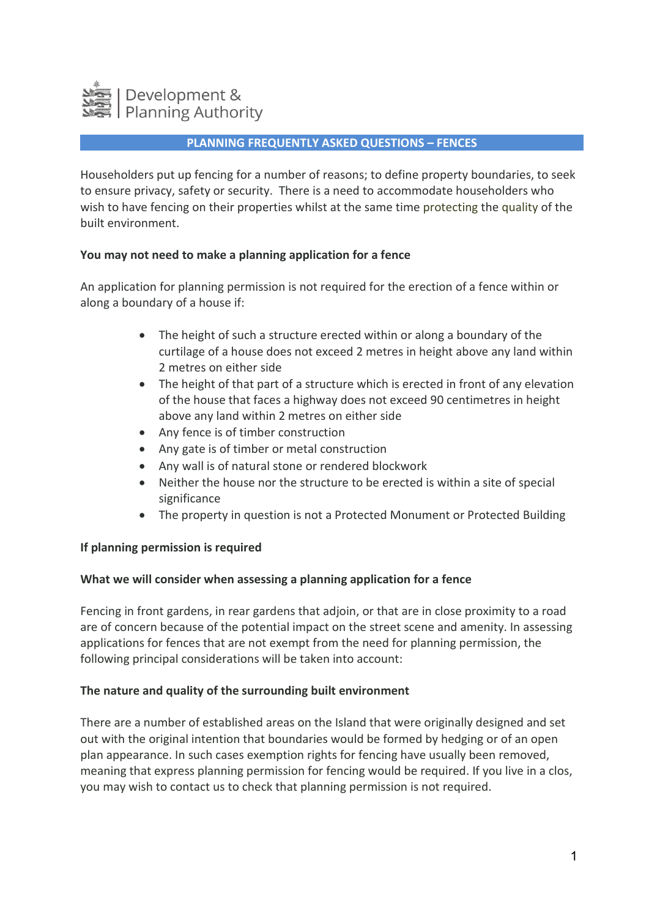

### **PLANNING FREQUENTLY ASKED QUESTIONS – FENCES**

Householders put up fencing for a number of reasons; to define property boundaries, to seek to ensure privacy, safety or security. There is a need to accommodate householders who wish to have fencing on their properties whilst at the same time protecting the quality of the built environment.

### **You may not need to make a planning application for a fence**

An application for planning permission is not required for the erection of a fence within or along a boundary of a house if:

- The height of such a structure erected within or along a boundary of the curtilage of a house does not exceed 2 metres in height above any land within 2 metres on either side
- The height of that part of a structure which is erected in front of any elevation of the house that faces a highway does not exceed 90 centimetres in height above any land within 2 metres on either side
- Any fence is of timber construction
- Any gate is of timber or metal construction
- Any wall is of natural stone or rendered blockwork
- Neither the house nor the structure to be erected is within a site of special significance
- The property in question is not a Protected Monument or Protected Building

#### **If planning permission is required**

#### **What we will consider when assessing a planning application for a fence**

Fencing in front gardens, in rear gardens that adjoin, or that are in close proximity to a road are of concern because of the potential impact on the street scene and amenity. In assessing applications for fences that are not exempt from the need for planning permission, the following principal considerations will be taken into account:

#### **The nature and quality of the surrounding built environment**

There are a number of established areas on the Island that were originally designed and set out with the original intention that boundaries would be formed by hedging or of an open plan appearance. In such cases exemption rights for fencing have usually been removed, meaning that express planning permission for fencing would be required. If you live in a clos, you may wish to contact us to check that planning permission is not required.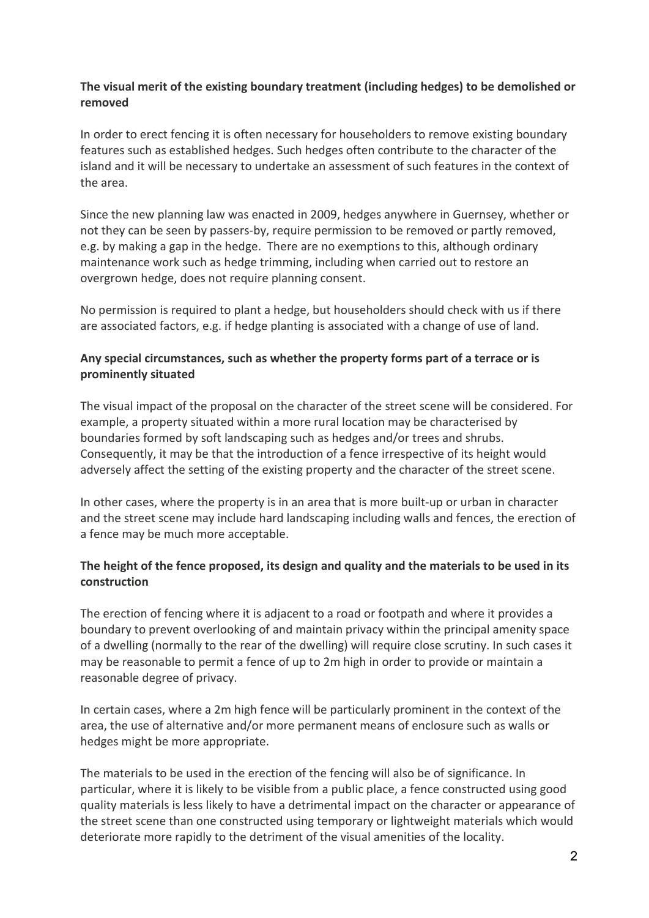## **The visual merit of the existing boundary treatment (including hedges) to be demolished or removed**

In order to erect fencing it is often necessary for householders to remove existing boundary features such as established hedges. Such hedges often contribute to the character of the island and it will be necessary to undertake an assessment of such features in the context of the area.

Since the new planning law was enacted in 2009, hedges anywhere in Guernsey, whether or not they can be seen by passers-by, require permission to be removed or partly removed, e.g. by making a gap in the hedge. There are no exemptions to this, although ordinary maintenance work such as hedge trimming, including when carried out to restore an overgrown hedge, does not require planning consent.

No permission is required to plant a hedge, but householders should check with us if there are associated factors, e.g. if hedge planting is associated with a change of use of land.

# **Any special circumstances, such as whether the property forms part of a terrace or is prominently situated**

The visual impact of the proposal on the character of the street scene will be considered. For example, a property situated within a more rural location may be characterised by boundaries formed by soft landscaping such as hedges and/or trees and shrubs. Consequently, it may be that the introduction of a fence irrespective of its height would adversely affect the setting of the existing property and the character of the street scene.

In other cases, where the property is in an area that is more built-up or urban in character and the street scene may include hard landscaping including walls and fences, the erection of a fence may be much more acceptable.

# **The height of the fence proposed, its design and quality and the materials to be used in its construction**

The erection of fencing where it is adjacent to a road or footpath and where it provides a boundary to prevent overlooking of and maintain privacy within the principal amenity space of a dwelling (normally to the rear of the dwelling) will require close scrutiny. In such cases it may be reasonable to permit a fence of up to 2m high in order to provide or maintain a reasonable degree of privacy.

In certain cases, where a 2m high fence will be particularly prominent in the context of the area, the use of alternative and/or more permanent means of enclosure such as walls or hedges might be more appropriate.

The materials to be used in the erection of the fencing will also be of significance. In particular, where it is likely to be visible from a public place, a fence constructed using good quality materials is less likely to have a detrimental impact on the character or appearance of the street scene than one constructed using temporary or lightweight materials which would deteriorate more rapidly to the detriment of the visual amenities of the locality.